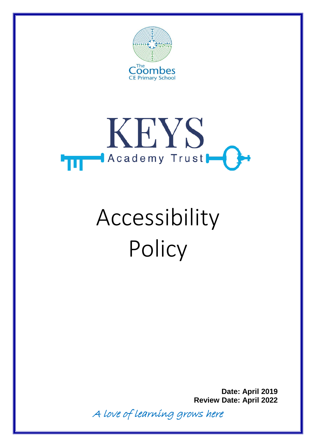



## Accessibility **Policy**

**Date: April 2019 Review Date: April 2022**

A love of learning grows here